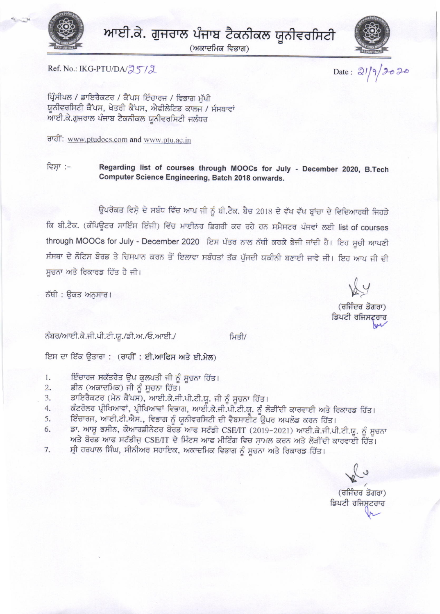

ਆਈ.ਕੇ. ਗੁਜਰਾਲ ਪੰਜਾਬ ਟੈਕਨੀਕਲ ਯੂਨੀਵਰਸਿਟੀ

(ਅਕਾਦਮਿਕ ਵਿਭਾਗ)



Ref. No.: IKG-PTU/DA/ス5/2

Date:  $21/9/2020$ 

ਪ੍ਰਿੰਸੀਪਲ / ਡਾਇਰੈਕਟਰ / ਕੈਂਪਸ ਇੰਚਾਰਜ / ਵਿਭਾਗ ਮੱਖੀ ਯੂਨੀਵਰਸਿਟੀ ਕੈਂਪਸ, ਖੇਤਰੀ ਕੈਂਪਸ, ਐਫੀਲੇਟਿਡ ਕਾਲਜ / ਸੰਸਥਾਵਾਂ ਆਈ.ਕੇ.ਗੁਜਰਾਲ ਪੰਜਾਬ ਟੈਕਨੀਕਲ ਯੂਨੀਵਰਸਿਟੀ ਜਲੰਧਰ

ਰਾਹੀ: www.ptudocs.com and www.ptu.ac.in

ਵਿਸਾ :-Regarding list of courses through MOOCs for July - December 2020, B.Tech Computer Science Engineering, Batch 2018 onwards.

ਉਪਰੋਕਤ ਵਿਸ਼ੇ ਦੇ ਸਬੰਧ ਵਿੱਚ ਆਪ ਜੀ ਨੂੰ ਬੀ.ਟੈਕ. ਬੈਚ 2018 ਦੇ ਵੱਖ ਵੱਖ ਬ੍ਰਾਂਚਾ ਦੇ ਵਿਦਿਆਰਥੀ ਜਿਹੜੇ ਕਿ ਬੀ.ਟੈਕ. (ਕੰਪਿਊਟਰ ਸਾਇੰਸ ਇੰਜੀ) ਵਿੱਚ ਮਾਈਨਰ ਡਿਗਰੀ ਕਰ ਰਹੇ ਹਨ ਸਮੈਸਟਰ ਪੰਜਵਾਂ ਲਈ list of courses through MOOCs for July - December 2020 ਇਸ ਪੱਤਰ ਨਾਲ ਨੱਥੀ ਕਰਕੇ ਭੇਜੀ ਜਾਂਦੀ ਹੈ। ਇਹ ਸੂਚੀ ਆਪਣੀ ਸੰਸਥਾ ਦੇ ਨੋਟਿਸ ਬੋਰਡ ਤੇ ਚਿਸਪਾਨ ਕਰਨ ਤੋਂ ਇਲਾਵਾ ਸਬੰਧਤਾਂ ਤੱਕ ਪੁੱਜਦੀ ਯਕੀਨੀ ਬਣਾਈ ਜਾਵੇ ਜੀ। ਇਹ ਆਪ ਜੀ ਦੀ ਸੂਚਨਾ ਅਤੇ ਰਿਕਾਰਡ ਹਿੱਤ ਹੈ ਜੀ।

ਨੱਥੀ : ਉਕਤ ਅਨੁਸਾਰ।

ਨੰਬਰ/ਆਈ.ਕੇ.ਜੀ.ਪੀ.ਟੀ.ਯੂ./ਡੀ.ਅ./ਓ.ਆਈ./

ਮਿਤੀ/

ਇਸ ਦਾ ਇੱਕ ਉਤਾਰਾ : (ਰਾਹੀਂ : ਈ.ਆਫਿਸ ਅਤੇ ਈ.ਮੇਲ)

- ਇੰਚਾਰਜ ਸਕੱਤਰੇਤ ਉਪ ਕੁਲਪਤੀ ਜੀ ਨੂੰ ਸੂਚਨਾ ਹਿੱਤ।  $1.$
- ਡੀਨ (ਅਕਾਦਮਿਕ) ਜੀ ਨੂੰ ਸੂਚਨਾ ਹਿੱਤ।  $2.$
- ਡਾਇਰੈਕਟਰ (ਮੇਨ ਕੈਂਪਸ), ਆਈ.ਕੇ.ਜੀ.ਪੀ.ਟੀ.ਯੂ. ਜੀ ਨੂੰ ਸੂਚਨਾ ਹਿੱਤ।  $\overline{3}$ .
- ਕੰਟਰੋਲਰ ਪ੍ਰੀਖਿਆਵਾਂ, ਪ੍ਰੀਖਿਆਵਾਂ ਵਿਭਾਗ, ਆਈ.ਕੇ.ਜੀ.ਪੀ.ਟੀ.ਯੂ. ਨੂੰ ਲੋੜੀਂਦੀ ਕਾਰਵਾਈ ਅਤੇ ਰਿਕਾਰਡ ਹਿੱਤ। 4.
- 5. ਇੰਚਾਰਜ, ਆਈ.ਟੀ.ਐਸ., ਵਿਭਾਗ ਨੂੰ ਯੂਨੀਵਰਸਿਟੀ ਦੀ ਵੈਬਸਾਈਟ ਉਪਰ ਅਪਲੋਡ ਕਰਨ ਹਿੱਤ।
- ਡਾ. ਆਸ਼ੂ ਭਸੀਨ, ਕੋਆਰਡੀਨੇਟਰ ਬੋਰਡ ਆਫ ਸਟੱਡੀ CSE/IT (2019-2021) ਆਈ.ਕੇ.ਜੀ.ਪੀ.ਟੀ.ਯੂ. ਨੂੰ ਸੂਚਨਾ 6. ਅਤੇ ਬੋਰਡ ਆਫ ਸਟੱਡੀਜ਼ CSE/IT ਦੇ ਮਿੰਟਸ ਆਫ ਮੀਟਿੰਗ ਵਿਚ ਸ਼ਾਮਲ ਕਰਨ ਅਤੇ ਲੋੜੀਂਦੀ ਕਾਰਵਾਈ ਹਿੱਤ।
- ਸ੍ਰੀ ਹਰਪਾਲ ਸਿੰਘ, ਸੀਨੀਅਰ ਸਹਾਇਕ, ਅਕਾਦਮਿਕ ਵਿਭਾਗ ਨੂੰ ਸੂਚਨਾ ਅਤੇ ਰਿਕਾਰਡ ਹਿੱਤ। 7.

(ਰਜਿੰਦਰ ਡੋਗਰਾ) ਡਿਪਟੀ ਰਜਿਸਟਰਾਰ

(ਰਜਿੰਦਰ ਡੋਗਰਾ) ਡਿਪਟੀ ਰਜਿਸ਼ਟਰਾਰ